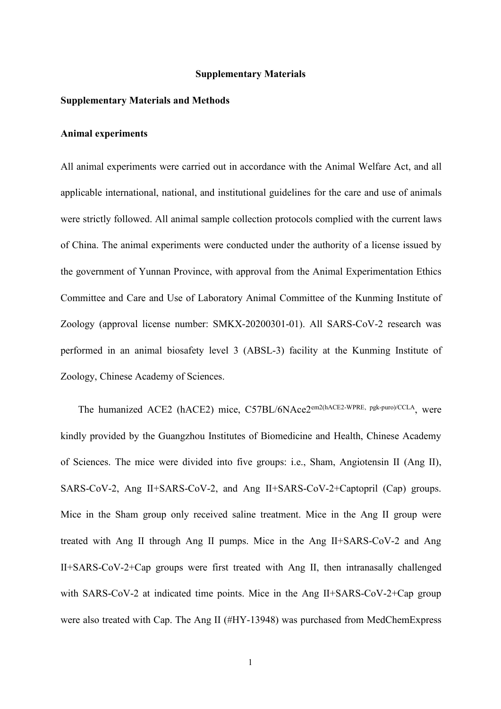#### **Supplementary Materials**

# **Supplementary Materials and Methods**

# **Animal experiments**

All animal experiments were carried out in accordance with the Animal Welfare Act, and all applicable international, national, and institutional guidelines for the care and use of animals were strictly followed. All animal sample collection protocols complied with the current laws of China. The animal experiments were conducted under the authority of a license issued by the government of Yunnan Province, with approval from the Animal Experimentation Ethics Committee and Care and Use of Laboratory Animal Committee of the Kunming Institute of Zoology (approval license number: SMKX-20200301-01). All SARS-CoV-2 research was performed in an animal biosafety level 3 (ABSL-3) facility at the Kunming Institute of Zoology, Chinese Academy of Sciences.

The humanized ACE2 (hACE2) mice, C57BL/6NAce2<sup>em2(hACE2-WPRE, pgk-puro)/CCLA</sup>, were kindly provided by the Guangzhou Institutes of Biomedicine and Health, Chinese Academy of Sciences. The mice were divided into five groups: i.e., Sham, Angiotensin II (Ang II), SARS-CoV-2, Ang II+SARS-CoV-2, and Ang II+SARS-CoV-2+Captopril (Cap) groups. Mice in the Sham group only received saline treatment. Mice in the Ang II group were treated with Ang II through Ang II pumps. Mice in the Ang II+SARS-CoV-2 and Ang II+SARS-CoV-2+Cap groups were first treated with Ang II, then intranasally challenged with SARS-CoV-2 at indicated time points. Mice in the Ang II+SARS-CoV-2+Cap group were also treated with Cap. The Ang II (#HY-13948) was purchased from MedChemExpress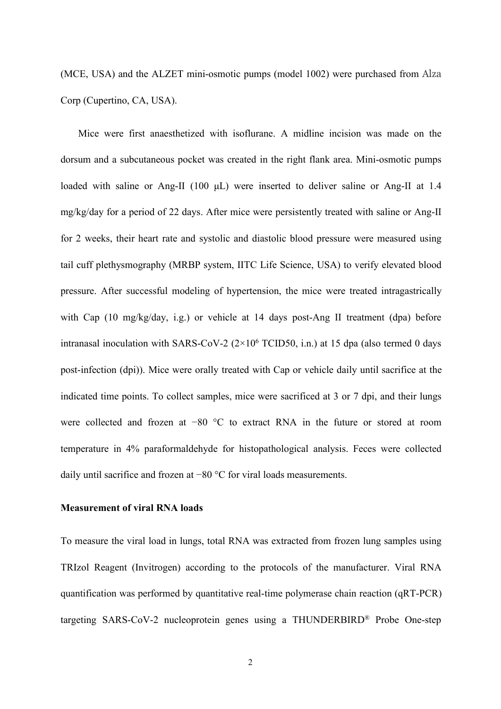(MCE, USA) and the ALZET mini-osmotic pumps (model 1002) were purchased from Alza Corp (Cupertino, CA, USA).

Mice were first anaesthetized with isoflurane. A midline incision was made on the dorsum and a subcutaneous pocket was created in the right flank area. Mini-osmotic pumps loaded with saline or Ang-II (100 μL) were inserted to deliver saline or Ang-II at 1.4 mg/kg/day for a period of 22 days. After mice were persistently treated with saline or Ang-II for 2 weeks, their heart rate and systolic and diastolic blood pressure were measured using tail cuff plethysmography (MRBP system, IITC Life Science, USA) to verify elevated blood pressure. After successful modeling of hypertension, the mice were treated intragastrically with Cap (10 mg/kg/day, i.g.) or vehicle at 14 days post-Ang II treatment (dpa) before intranasal inoculation with SARS-CoV-2 (2×10 <sup>6</sup> TCID50, i.n.) at 15 dpa (also termed 0 days post-infection (dpi)). Mice were orally treated with Cap or vehicle daily until sacrifice at the indicated time points. To collect samples, mice were sacrificed at 3 or 7 dpi, and their lungs were collected and frozen at −80 °C to extract RNA in the future or stored at room temperature in 4% paraformaldehyde for histopathological analysis. Feces were collected daily until sacrifice and frozen at −80 °C for viral loads measurements.

#### **Measurement of viral RNA loads**

To measure the viral load in lungs, total RNA was extracted from frozen lung samples using TRIzol Reagent (Invitrogen) according to the protocols of the manufacturer. Viral RNA quantification was performed by quantitative real-time polymerase chain reaction (qRT-PCR) targeting SARS-CoV-2 nucleoprotein genes using a THUNDERBIRD<sup>®</sup> Probe One-step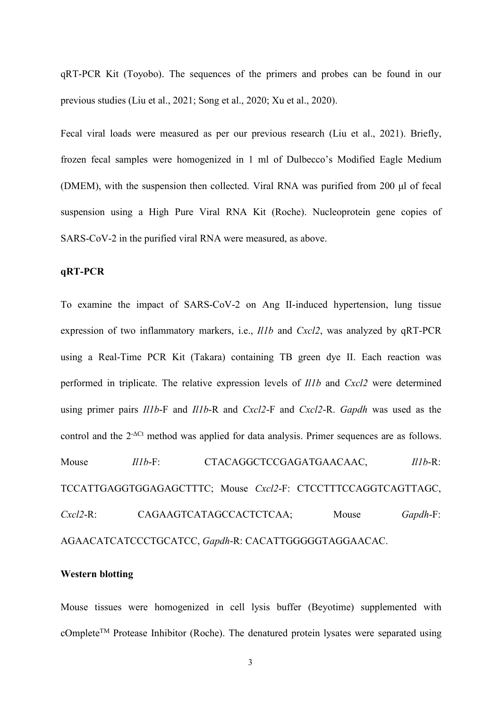qRT-PCR Kit (Toyobo). The sequences of the primers and probes can be found in our previous studies (Liu et al., 2021; Song et al., 2020; Xu et al., 2020).

Fecal viral loads were measured as per our previous research (Liu et al., 2021). Briefly, frozen fecal samples were homogenized in 1 ml of Dulbecco's Modified Eagle Medium (DMEM), with the suspension then collected. Viral RNA was purified from 200 μl of fecal suspension using a High Pure Viral RNA Kit (Roche). Nucleoprotein gene copies of SARS-CoV-2 in the purified viral RNA were measured, as above.

# **qRT-PCR**

To examine the impact of SARS-CoV-2 on Ang II-induced hypertension, lung tissue expression of two inflammatory markers, i.e., *Il1b* and *Cxcl2*, was analyzed by qRT-PCR using a Real-Time PCR Kit (Takara) containing TB green dye II. Each reaction was performed in triplicate. The relative expression levels of *Il1b* and *Cxcl2* were determined using primer pairs *Il1b*-F and *Il1b*-R and *Cxcl2*-F and *Cxcl2*-R. *Gapdh* was used as the control and the 2 -ΔCt method was applied for data analysis. Primer sequences are as follows. Mouse *Il1b*-F: CTACAGGCTCCGAGATGAACAAC, *Il1b*-R: TCCATTGAGGTGGAGAGCTTTC; Mouse *Cxcl2*-F: CTCCTTTCCAGGTCAGTTAGC, *Cxcl2*-R: CAGAAGTCATAGCCACTCTCAA; Mouse *Gapdh*-F: AGAACATCATCCCTGCATCC, *Gapdh*-R: CACATTGGGGGTAGGAACAC.

## **Western blotting**

Mouse tissues were homogenized in cell lysis buffer (Beyotime) supplemented with cOmplete<sup>™</sup> Protease Inhibitor (Roche). The denatured protein lysates were separated using

3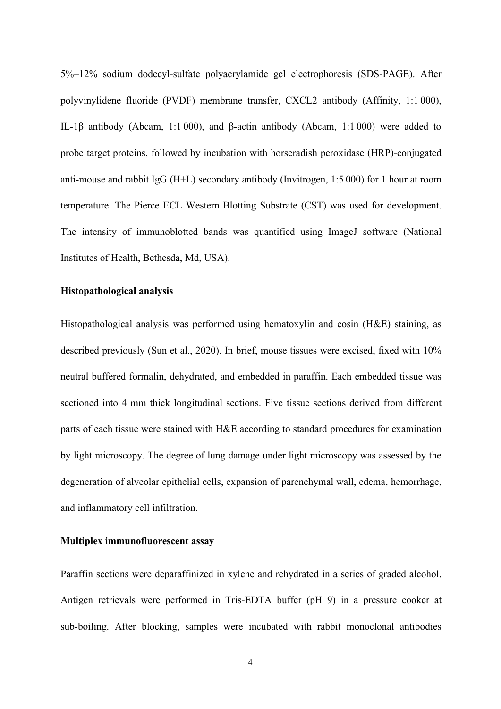5%–12% sodium dodecyl-sulfate polyacrylamide gel electrophoresis (SDS-PAGE). After polyvinylidene fluoride (PVDF) membrane transfer, CXCL2 antibody (Affinity, 1:1 000), IL-1β antibody (Abcam, 1:1 000), and β-actin antibody (Abcam, 1:1 000) were added to probe target proteins, followed by incubation with horseradish peroxidase (HRP)-conjugated anti-mouse and rabbit IgG (H+L) secondary antibody (Invitrogen, 1:5 000) for 1 hour at room temperature. The Pierce ECL Western Blotting Substrate (CST) was used for development. The intensity of immunoblotted bands was quantified using ImageJ software (National Institutes of Health, Bethesda, Md, USA).

# **Histopathological analysis**

Histopathological analysis was performed using hematoxylin and eosin  $(H&E)$  staining, as described previously (Sun et al., 2020). In brief, mouse tissues were excised, fixed with 10% neutral buffered formalin, dehydrated, and embedded in paraffin. Each embedded tissue was sectioned into 4 mm thick longitudinal sections. Five tissue sections derived from different parts of each tissue were stained with H&E according to standard procedures for examination by light microscopy. The degree of lung damage under light microscopy was assessed by the degeneration of alveolar epithelial cells, expansion of parenchymal wall, edema, hemorrhage, and inflammatory cell infiltration.

## **Multiplex immunofluorescent assay**

Paraffin sections were deparaffinized in xylene and rehydrated in a series of graded alcohol. Antigen retrievals were performed in Tris-EDTA buffer (pH 9) in a pressure cooker at sub-boiling. After blocking, samples were incubated with rabbit monoclonal antibodies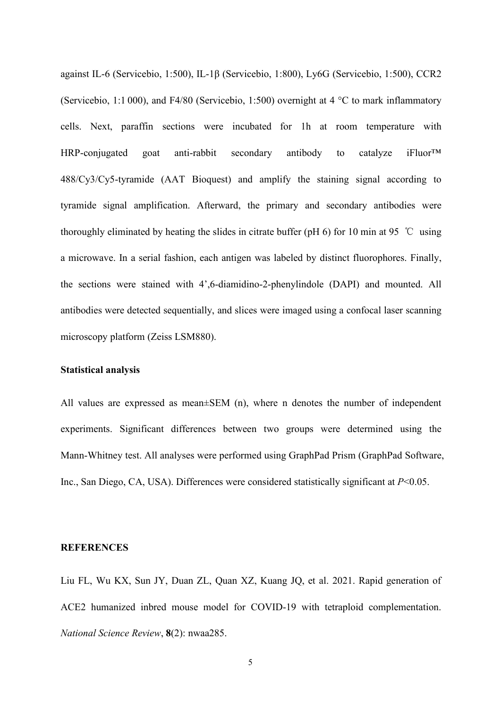against IL-6 (Servicebio, 1:500), IL-1β (Servicebio, 1:800), Ly6G (Servicebio, 1:500), CCR2 (Servicebio, 1:1 000), and F4/80 (Servicebio, 1:500) overnight at 4 °C to mark inflammatory cells. Next, paraffin sections were incubated for 1h at room temperature with HRP-conjugated goat anti-rabbit secondary antibody to catalyze iFluor™ 488/Cy3/Cy5-tyramide (AAT Bioquest) and amplify the staining signal according to tyramide signal amplification. Afterward, the primary and secondary antibodies were thoroughly eliminated by heating the slides in citrate buffer (pH 6) for 10 min at 95 ℃ using a microwave. In a serial fashion, each antigen was labeled by distinct fluorophores. Finally, the sections were stained with 4',6-diamidino-2-phenylindole (DAPI) and mounted. All antibodies were detected sequentially, and slices were imaged using a confocal laser scanning microscopy platform (Zeiss LSM880).

## **Statistical analysis**

All values are expressed as mean±SEM (n), where n denotes the number of independent experiments. Significant differences between two groups were determined using the Mann-Whitney test. All analyses were performed using GraphPad Prism (GraphPad Software, Inc., San Diego, CA, USA). Differences were considered statistically significant at *P*<0.05.

#### **REFERENCES**

Liu FL, Wu KX, Sun JY, Duan ZL, Quan XZ, Kuang JQ, et al. 2021. Rapid generation of ACE2 humanized inbred mouse model for COVID-19 with tetraploid complementation. *National Science Review*, **8**(2): nwaa285.